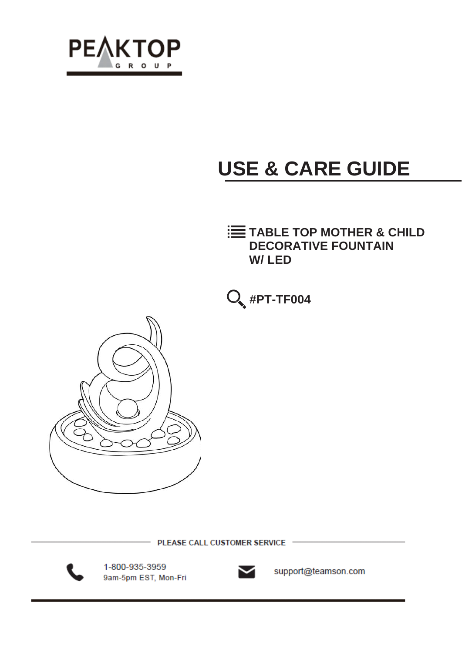

# **USE & CARE GUIDE**

### **TABLE TOP MOTHER & CHILD DECORATIVE FOUNTAIN W/ LED**





PLEASE CALL CUSTOMER SERVICE



1-800-935-3959 9am-5pm EST, Mon-Fri



support@teamson.com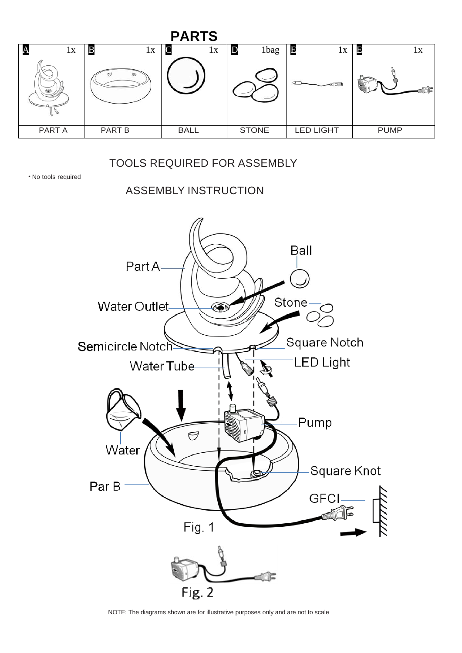| <b>PARTS</b>      |                         |             |              |                  |              |    |  |  |
|-------------------|-------------------------|-------------|--------------|------------------|--------------|----|--|--|
| $\mathbf A$<br>1x | $\, {\bf B}$<br>1X<br>O | 1x<br>╰     | 1bag<br>IJ   | E<br>lх          | $\mathbf{E}$ | 1x |  |  |
| PART A            | PART B                  | <b>BALL</b> | <b>STONE</b> | <b>LED LIGHT</b> | <b>PUMP</b>  |    |  |  |

### TOOLS REQUIRED FOR ASSEMBLY

• No tools required

ASSEMBLY INSTRUCTION



NOTE: The diagrams shown are for illustrative purposes only and are not to scale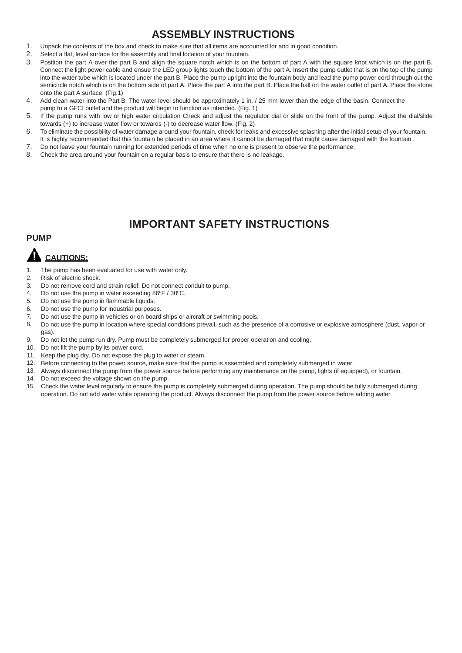### **ASSEMBLY INSTRUCTIONS**

- 1. Unpack the contents of the box and check to make sure that all items are accounted for and in good condition.
- 2. Select a flat, level surface for the assembly and final location of your fountain.
- 3. Position the part A over the part B and align the square notch which is on the bottom of part A with the square knot which is on the part B. Connect the light power cable and ensue the LED group lights touch the bottom of the part A. Insert the pump outlet that is on the top of the pump into the water tube which is located under the part B. Place the pump upright into the fountain body and lead the pump power cord through out the semicircle notch which is on the bottom side of part A. Place the part A into the part B. Place the ball on the water outlet of part A. Place the stone onto the part A surface. (Fig.1)
- 4. Add clean water into the Part B. The water level should be approximately 1 in. / 25 mm lower than the edge of the basin. Connect the pump to a GFCI outlet and the product will begin to function as intended. (Fig. 1)
- 5. If the pump runs with low or high water circulation Check and adjust the regulator dial or slide on the front of the pump. Adjust the dial/slide towards (+) to increase water flow or towards (-) to decrease water flow. (Fig. 2)
- 6. To eliminate the possibility of water damage around your fountain, check for leaks and excessive splashing after the initial setup of your fountain.
- It is highly recommended that this fountain be placed in an area where it cannot be damaged that might cause damaged with the fountain. 7. Do not leave your fountain running for extended periods of time when no one is present to observe the performance.
- 
- 8. Check the area around your fountain on a regular basis to ensure that there is no leakage.

### **IMPORTANT SAFETY INSTRUCTIONS**

#### **PUMP**

## **A** CAUTIONS:

- 1. The pump has been evaluated for use with water only.
- 2. Risk of electric shock.
- 3. Do not remove cord and strain relief. Do not connect conduit to pump.
- 4. Do not use the pump in water exceeding 86ºF / 30ºC.
- 5. Do not use the pump in flammable liquids.
- 6. Do not use the pump for industrial purposes.
- 7. Do not use the pump in vehicles or on board ships or aircraft or swimming pools.
- 8. Do not use the pump in location where special conditions prevail, such as the presence of a corrosive or explosive atmosphere (dust, vapor or gas).
- 9. Do not let the pump run dry. Pump must be completely submerged for proper operation and cooling.
- 10. Do not lift the pump by its power cord.
- 11. Keep the plug dry. Do not expose the plug to water or steam.
- 12. Before connecting to the power source, make sure that the pump is assembled and completely submerged in water.
- 13. Always disconnect the pump from the power source before performing any maintenance on the pump, lights (if equipped), or fountain.
- 14. Do not exceed the voltage shown on the pump.
- 15. Check the water level regularly to ensure the pump is completely submerged during operation. The pump should be fully submerged during operation. Do not add water while operating the product. Always disconnect the pump from the power source before adding water.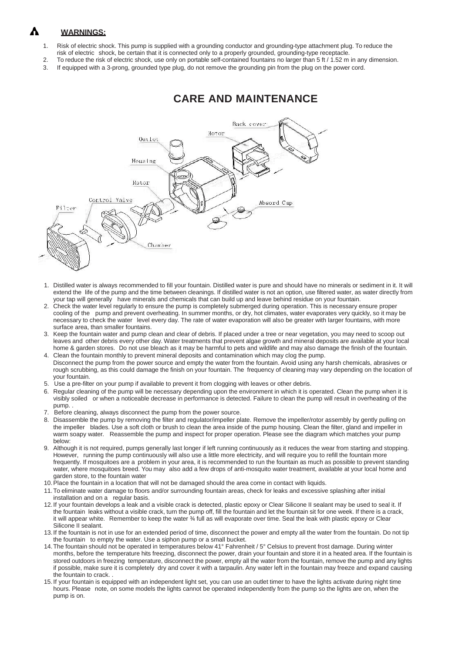#### Δ **WARNINGS:**

- 1. Risk of electric shock. This pump is supplied with a grounding conductor and grounding-type attachment plug. To reduce the risk of electric shock, be certain that it is connected only to a properly grounded, grounding-type receptacle.
- 2. To reduce the risk of electric shock, use only on portable self-contained fountains no larger than 5 ft / 1.52 m in any dimension.
- 3. If equipped with a 3-prong, grounded type plug, do not remove the grounding pin from the plug on the power cord.



### **CARE AND MAINTENANCE**

- 1. Distilled water is always recommended to fill your fountain. Distilled water is pure and should have no minerals or sediment in it. It will extend the life of the pump and the time between cleanings. If distilled water is not an option, use filtered water, as water directly from your tap will generally have minerals and chemicals that can build up and leave behind residue on your fountain.
- 2. Check the water level regularly to ensure the pump is completely submerged during operation. This is necessary ensure proper cooling of the pump and prevent overheating. In summer months, or dry, hot climates, water evaporates very quickly, so it may be necessary to check the water level every day. The rate of water evaporation will also be greater with larger fountains, with more surface area, than smaller fountains.
- 3. Keep the fountain water and pump clean and clear of debris. If placed under a tree or near vegetation, you may need to scoop out leaves and other debris every other day. Water treatments that prevent algae growth and mineral deposits are available at your local home & garden stores. Do not use bleach as it may be harmful to pets and wildlife and may also damage the finish of the fountain. 4. Clean the fountain monthly to prevent mineral deposits and contamination which may clog the pump.
- Disconnect the pump from the power source and empty the water from the fountain. Avoid using any harsh chemicals, abrasives or rough scrubbing, as this could damage the finish on your fountain. The frequency of cleaning may vary depending on the location of your fountain.
- 5. Use a pre-filter on your pump if available to prevent it from clogging with leaves or other debris.
- 6. Regular cleaning of the pump will be necessary depending upon the environment in which it is operated. Clean the pump when it is visibly soiled or when a noticeable decrease in performance is detected. Failure to clean the pump will result in overheating of the pump. .
- 7. Before cleaning, always disconnect the pump from the power source.
- 8. Disassemble the pump by removing the filter and regulator/impeller plate. Remove the impeller/rotor assembly by gently pulling on the impeller blades. Use a soft cloth or brush to clean the area inside of the pump housing. Clean the filter, gland and impeller in warm soapy water. Reassemble the pump and inspect for proper operation. Please see the diagram which matches your pump below:
- 9. Although it is not required, pumps generally last longer if left running continuously as it reduces the wear from starting and stopping. However, running the pump continuously will also use a little more electricity, and will require you to refill the fountain more frequently. If mosquitoes are a problem in your area, it is recommended to run the fountain as much as possible to prevent standing water, where mosquitoes breed. You may also add a few drops of anti-mosquito water treatment, available at your local home and garden store, to the fountain water
- 10. Place the fountain in a location that will not be damaged should the area come in contact with liquids.
- 11. To eliminate water damage to floors and/or surrounding fountain areas, check for leaks and excessive splashing after initial installation and on a regular basis.
- 12. If your fountain develops a leak and a visible crack is detected, plastic epoxy or Clear Silicone II sealant may be used to seal it. If the fountain leaks without a visible crack, turn the pump off, fill the fountain and let the fountain sit for one week. If there is a crack, it will appear white. Remember to keep the water ¾ full as will evaporate over time. Seal the leak with plastic epoxy or Clear Silicone II sealant.
- 13. If the fountain is not in use for an extended period of time, disconnect the power and empty all the water from the fountain. Do not tip the fountain to empty the water. Use a siphon pump or a small bucket.
- 14. The fountain should not be operated in temperatures below 41° Fahrenheit / 5° Celsius to prevent frost damage. During winter months, before the temperature hits freezing, disconnect the power, drain your fountain and store it in a heated area. If the fountain is stored outdoors in freezing temperature, disconnect the power, empty all the water from the fountain, remove the pump and any lights if possible, make sure it is completely dry and cover it with a tarpaulin. Any water left in the fountain may freeze and expand causing the fountain to crack. .
- 15. If your fountain is equipped with an independent light set, you can use an outlet timer to have the lights activate during night time hours. Please note, on some models the lights cannot be operated independently from the pump so the lights are on, when the pump is on.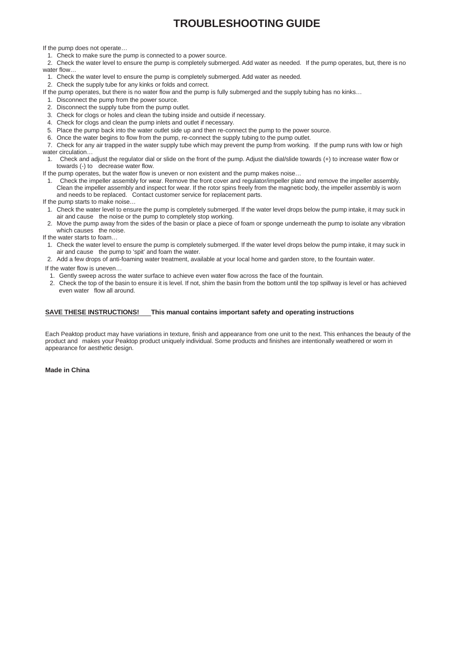### **TROUBLESHOOTING GUIDE**

If the pump does not operate…

- 1. Check to make sure the pump is connected to a power source.
- 2. Check the water level to ensure the pump is completely submerged. Add water as needed. If the pump operates, but, there is no water flow
- 1. Check the water level to ensure the pump is completely submerged. Add water as needed.
- 2. Check the supply tube for any kinks or folds and correct.
- If the pump operates, but there is no water flow and the pump is fully submerged and the supply tubing has no kinks…
- 1. Disconnect the pump from the power source.
- 2. Disconnect the supply tube from the pump outlet.
- 3. Check for clogs or holes and clean the tubing inside and outside if necessary.
- 4. Check for clogs and clean the pump inlets and outlet if necessary.
- 5. Place the pump back into the water outlet side up and then re-connect the pump to the power source.
- 6. Once the water begins to flow from the pump, re-connect the supply tubing to the pump outlet.
- 7. Check for any air trapped in the water supply tube which may prevent the pump from working. If the pump runs with low or high water circulation…
- 1. Check and adjust the regulator dial or slide on the front of the pump. Adjust the dial/slide towards (+) to increase water flow or towards (-) to decrease water flow.
- If the pump operates, but the water flow is uneven or non existent and the pump makes noise…
- Check the impeller assembly for wear. Remove the front cover and regulator/impeller plate and remove the impeller assembly. Clean the impeller assembly and inspect for wear. If the rotor spins freely from the magnetic body, the impeller assembly is worn and needs to be replaced. Contact customer service for replacement parts.
- If the pump starts to make noise…
- 1. Check the water level to ensure the pump is completely submerged. If the water level drops below the pump intake, it may suck in air and cause the noise or the pump to completely stop working.
- 2. Move the pump away from the sides of the basin or place a piece of foam or sponge underneath the pump to isolate any vibration which causes the noise.
- If the water starts to foam…
- 1. Check the water level to ensure the pump is completely submerged. If the water level drops below the pump intake, it may suck in air and cause the pump to 'spit' and foam the water.
- 2. Add a few drops of anti-foaming water treatment, available at your local home and garden store, to the fountain water.

If the water flow is uneven…

- 1. Gently sweep across the water surface to achieve even water flow across the face of the fountain.
- 2. Check the top of the basin to ensure it is level. If not, shim the basin from the bottom until the top spillway is level or has achieved even water flow all around.

#### **SAVE THESE INSTRUCTIONS! This manual contains important safety and operating instructions**

Each Peaktop product may have variations in texture, finish and appearance from one unit to the next. This enhances the beauty of the product and makes your Peaktop product uniquely individual. Some products and finishes are intentionally weathered or worn in appearance for aesthetic design.

**Made in China**